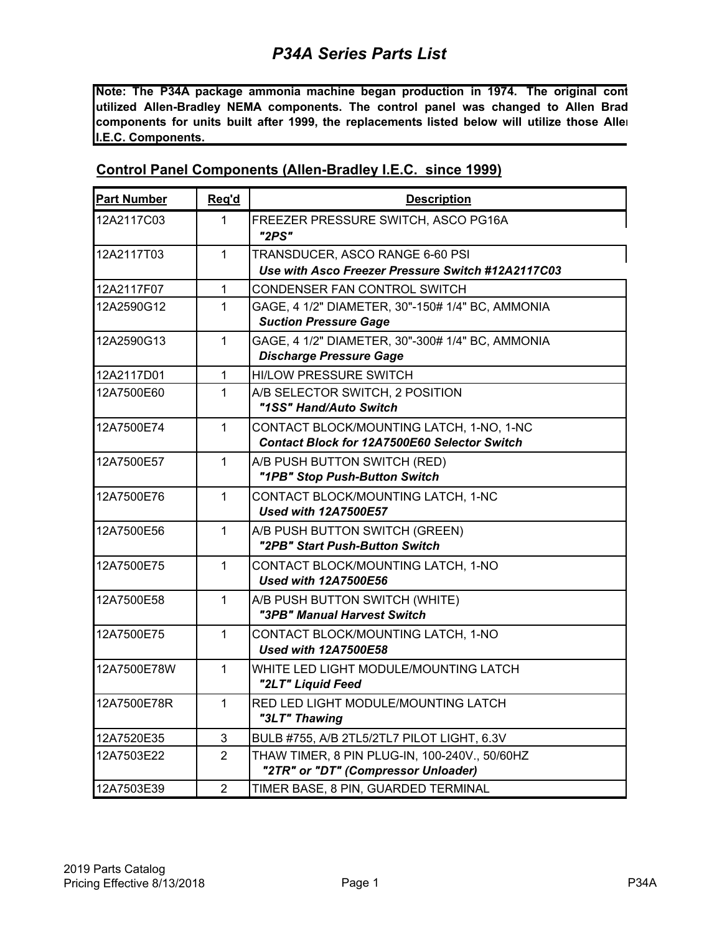**Note: The P34A package ammonia machine began production in 1974. The original cont utilized Allen-Bradley NEMA components. The control panel was changed to Allen Brad components for units built after 1999, the replacements listed below will utilize those Allen I.E.C. Components.** 

| <b>Part Number</b> | Req'd          | <b>Description</b>                                                                              |
|--------------------|----------------|-------------------------------------------------------------------------------------------------|
| 12A2117C03         | 1              | FREEZER PRESSURE SWITCH, ASCO PG16A<br>"2PS"                                                    |
| 12A2117T03         | 1              | TRANSDUCER, ASCO RANGE 6-60 PSI<br>Use with Asco Freezer Pressure Switch #12A2117C03            |
| 12A2117F07         | 1              | CONDENSER FAN CONTROL SWITCH                                                                    |
| 12A2590G12         | 1              | GAGE, 4 1/2" DIAMETER, 30"-150# 1/4" BC, AMMONIA<br><b>Suction Pressure Gage</b>                |
| 12A2590G13         | 1              | GAGE, 4 1/2" DIAMETER, 30"-300# 1/4" BC, AMMONIA<br><b>Discharge Pressure Gage</b>              |
| 12A2117D01         | 1              | <b>HI/LOW PRESSURE SWITCH</b>                                                                   |
| 12A7500E60         | 1              | A/B SELECTOR SWITCH, 2 POSITION<br>"1SS" Hand/Auto Switch                                       |
| 12A7500E74         | 1              | CONTACT BLOCK/MOUNTING LATCH, 1-NO, 1-NC<br><b>Contact Block for 12A7500E60 Selector Switch</b> |
| 12A7500E57         | 1              | A/B PUSH BUTTON SWITCH (RED)<br>"1PB" Stop Push-Button Switch                                   |
| 12A7500E76         | 1              | CONTACT BLOCK/MOUNTING LATCH, 1-NC<br><b>Used with 12A7500E57</b>                               |
| 12A7500E56         | 1              | A/B PUSH BUTTON SWITCH (GREEN)<br>"2PB" Start Push-Button Switch                                |
| 12A7500E75         | 1              | CONTACT BLOCK/MOUNTING LATCH, 1-NO<br><b>Used with 12A7500E56</b>                               |
| 12A7500E58         | $\mathbf{1}$   | A/B PUSH BUTTON SWITCH (WHITE)<br>"3PB" Manual Harvest Switch                                   |
| 12A7500E75         | $\mathbf{1}$   | CONTACT BLOCK/MOUNTING LATCH, 1-NO<br><b>Used with 12A7500E58</b>                               |
| 12A7500E78W        | 1              | WHITE LED LIGHT MODULE/MOUNTING LATCH<br>"2LT" Liquid Feed                                      |
| 12A7500E78R        | 1              | RED LED LIGHT MODULE/MOUNTING LATCH<br>"3LT" Thawing                                            |
| 12A7520E35         | 3              | BULB #755, A/B 2TL5/2TL7 PILOT LIGHT, 6.3V                                                      |
| 12A7503E22         | $\overline{2}$ | THAW TIMER, 8 PIN PLUG-IN, 100-240V., 50/60HZ<br>"2TR" or "DT" (Compressor Unloader)            |
| 12A7503E39         | $\overline{2}$ | TIMER BASE, 8 PIN, GUARDED TERMINAL                                                             |

#### **Control Panel Components (Allen-Bradley I.E.C. since 1999)**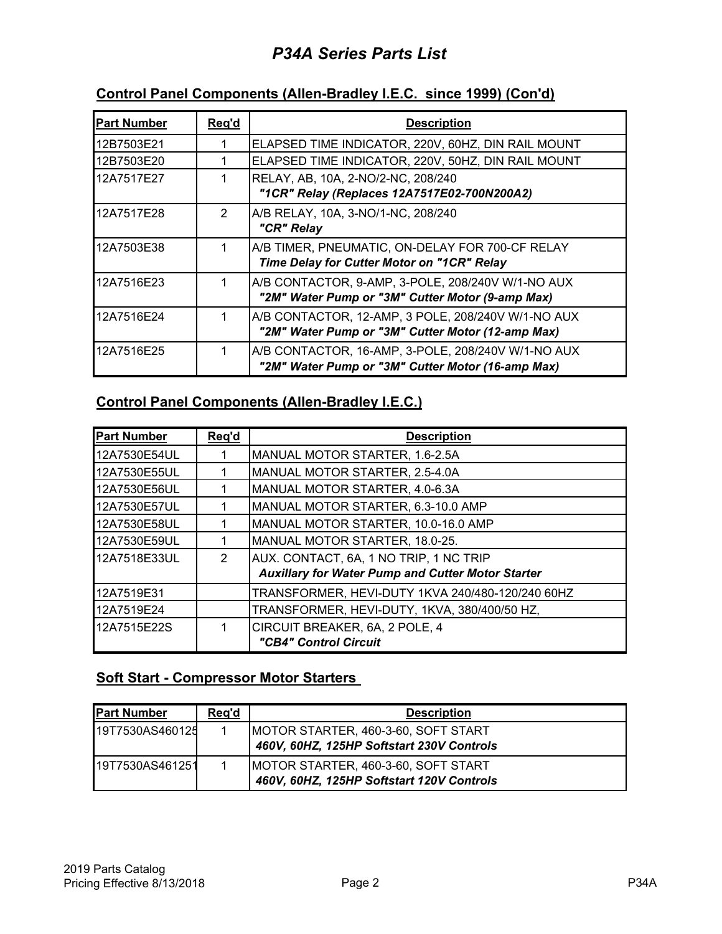# *P34A Series Parts List*

# **Control Panel Components (Allen-Bradley I.E.C. since 1999) (Con'd)**

| <b>Part Number</b> | Req'd | <b>Description</b>                                                                                      |
|--------------------|-------|---------------------------------------------------------------------------------------------------------|
| 12B7503E21         |       | ELAPSED TIME INDICATOR, 220V, 60HZ, DIN RAIL MOUNT                                                      |
| 12B7503E20         |       | ELAPSED TIME INDICATOR, 220V, 50HZ, DIN RAIL MOUNT                                                      |
| 12A7517E27         |       | RELAY, AB, 10A, 2-NO/2-NC, 208/240<br>"1CR" Relay (Replaces 12A7517E02-700N200A2)                       |
| 12A7517E28         | 2     | A/B RELAY, 10A, 3-NO/1-NC, 208/240<br>"CR" Relay                                                        |
| 12A7503E38         |       | A/B TIMER, PNEUMATIC, ON-DELAY FOR 700-CF RELAY<br>Time Delay for Cutter Motor on "1CR" Relay           |
| 12A7516E23         |       | A/B CONTACTOR, 9-AMP, 3-POLE, 208/240V W/1-NO AUX<br>"2M" Water Pump or "3M" Cutter Motor (9-amp Max)   |
| 12A7516E24         |       | A/B CONTACTOR, 12-AMP, 3 POLE, 208/240V W/1-NO AUX<br>"2M" Water Pump or "3M" Cutter Motor (12-amp Max) |
| 12A7516E25         |       | A/B CONTACTOR, 16-AMP, 3-POLE, 208/240V W/1-NO AUX<br>"2M" Water Pump or "3M" Cutter Motor (16-amp Max) |

#### **Control Panel Components (Allen-Bradley I.E.C.)**

| <b>Part Number</b> | Req'd | <b>Description</b>                                       |
|--------------------|-------|----------------------------------------------------------|
| 12A7530E54UL       |       | MANUAL MOTOR STARTER, 1.6-2.5A                           |
| 12A7530E55UL       |       | MANUAL MOTOR STARTER, 2.5-4.0A                           |
| 12A7530E56UL       |       | MANUAL MOTOR STARTER, 4.0-6.3A                           |
| 12A7530E57UL       |       | MANUAL MOTOR STARTER, 6.3-10.0 AMP                       |
| 12A7530E58UL       |       | MANUAL MOTOR STARTER, 10.0-16.0 AMP                      |
| 12A7530E59UL       |       | MANUAL MOTOR STARTER, 18.0-25.                           |
| 12A7518E33UL       | 2     | AUX. CONTACT, 6A, 1 NO TRIP, 1 NC TRIP                   |
|                    |       | <b>Auxillary for Water Pump and Cutter Motor Starter</b> |
| 12A7519E31         |       | TRANSFORMER, HEVI-DUTY 1KVA 240/480-120/240 60HZ         |
| 12A7519E24         |       | TRANSFORMER, HEVI-DUTY, 1KVA, 380/400/50 HZ,             |
| 12A7515E22S        |       | CIRCUIT BREAKER, 6A, 2 POLE, 4                           |
|                    |       | "CB4" Control Circuit                                    |

#### **Soft Start - Compressor Motor Starters**

| <b>Part Number</b> | Reg'd | <b>Description</b>                                                               |
|--------------------|-------|----------------------------------------------------------------------------------|
| 19T7530AS460125    |       | MOTOR STARTER, 460-3-60, SOFT START<br>460V, 60HZ, 125HP Softstart 230V Controls |
| 19T7530AS461251    |       | MOTOR STARTER, 460-3-60, SOFT START<br>460V, 60HZ, 125HP Softstart 120V Controls |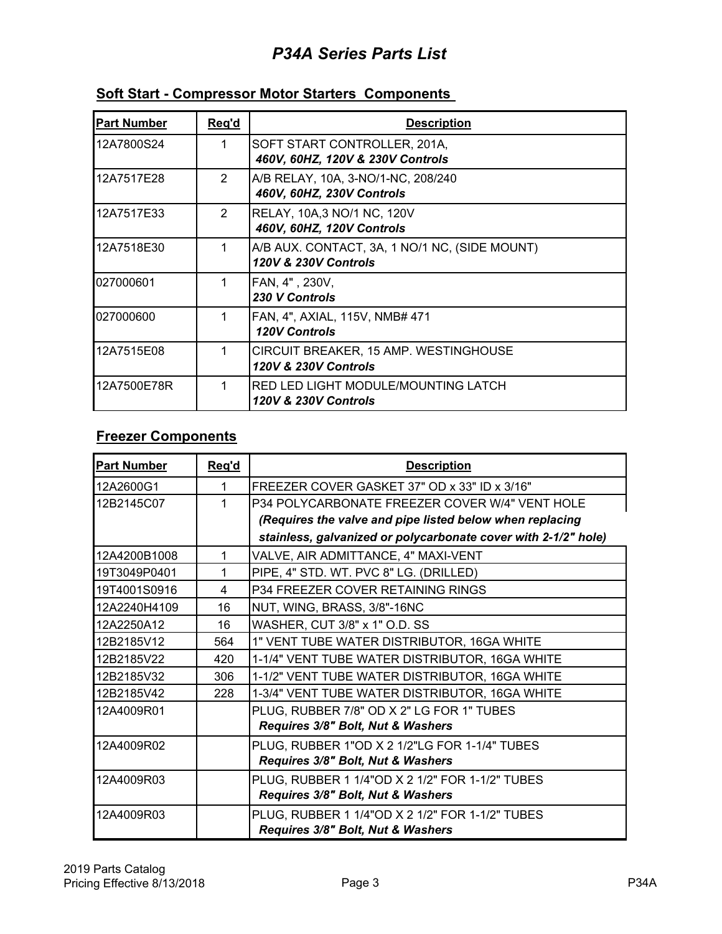# *P34A Series Parts List*

| <b>Part Number</b> | Req'd | <b>Description</b>                                                       |
|--------------------|-------|--------------------------------------------------------------------------|
| 12A7800S24         |       | SOFT START CONTROLLER, 201A,<br>460V, 60HZ, 120V & 230V Controls         |
| 12A7517E28         | 2     | A/B RELAY, 10A, 3-NO/1-NC, 208/240<br>460V, 60HZ, 230V Controls          |
| 12A7517E33         | 2     | RELAY, 10A,3 NO/1 NC, 120V<br>460V, 60HZ, 120V Controls                  |
| 12A7518E30         | 1     | A/B AUX. CONTACT, 3A, 1 NO/1 NC, (SIDE MOUNT)<br>120V & 230V Controls    |
| 027000601          |       | FAN, 4", 230V,<br>230 V Controls                                         |
| 027000600          |       | FAN, 4", AXIAL, 115V, NMB# 471<br><b>120V Controls</b>                   |
| 12A7515E08         |       | CIRCUIT BREAKER, 15 AMP. WESTINGHOUSE<br><b>120V &amp; 230V Controls</b> |
| 12A7500E78R        |       | RED LED LIGHT MODULE/MOUNTING LATCH<br>120V & 230V Controls              |

### **Soft Start - Compressor Motor Starters Components**

### **Freezer Components**

| <b>Part Number</b> | Reg'd | <b>Description</b>                                             |
|--------------------|-------|----------------------------------------------------------------|
| 12A2600G1          | 1     | FREEZER COVER GASKET 37" OD x 33" ID x 3/16"                   |
| 12B2145C07         |       | P34 POLYCARBONATE FREEZER COVER W/4" VENT HOLE                 |
|                    |       | (Requires the valve and pipe listed below when replacing       |
|                    |       | stainless, galvanized or polycarbonate cover with 2-1/2" hole) |
| 12A4200B1008       | 1     | VALVE, AIR ADMITTANCE, 4" MAXI-VENT                            |
| 19T3049P0401       | 1     | PIPE, 4" STD. WT. PVC 8" LG. (DRILLED)                         |
| 19T4001S0916       | 4     | P34 FREEZER COVER RETAINING RINGS                              |
| 12A2240H4109       | 16    | NUT, WING, BRASS, 3/8"-16NC                                    |
| 12A2250A12         | 16    | WASHER, CUT 3/8" x 1" O.D. SS                                  |
| 12B2185V12         | 564   | 1" VENT TUBE WATER DISTRIBUTOR, 16GA WHITE                     |
| 12B2185V22         | 420   | 1-1/4" VENT TUBE WATER DISTRIBUTOR, 16GA WHITE                 |
| 12B2185V32         | 306   | 1-1/2" VENT TUBE WATER DISTRIBUTOR, 16GA WHITE                 |
| 12B2185V42         | 228   | 1-3/4" VENT TUBE WATER DISTRIBUTOR, 16GA WHITE                 |
| 12A4009R01         |       | PLUG, RUBBER 7/8" OD X 2" LG FOR 1" TUBES                      |
|                    |       | Requires 3/8" Bolt, Nut & Washers                              |
| 12A4009R02         |       | PLUG, RUBBER 1"OD X 2 1/2"LG FOR 1-1/4" TUBES                  |
|                    |       | Requires 3/8" Bolt, Nut & Washers                              |
| 12A4009R03         |       | PLUG, RUBBER 1 1/4"OD X 2 1/2" FOR 1-1/2" TUBES                |
|                    |       | Requires 3/8" Bolt, Nut & Washers                              |
| 12A4009R03         |       | PLUG, RUBBER 1 1/4"OD X 2 1/2" FOR 1-1/2" TUBES                |
|                    |       | Requires 3/8" Bolt, Nut & Washers                              |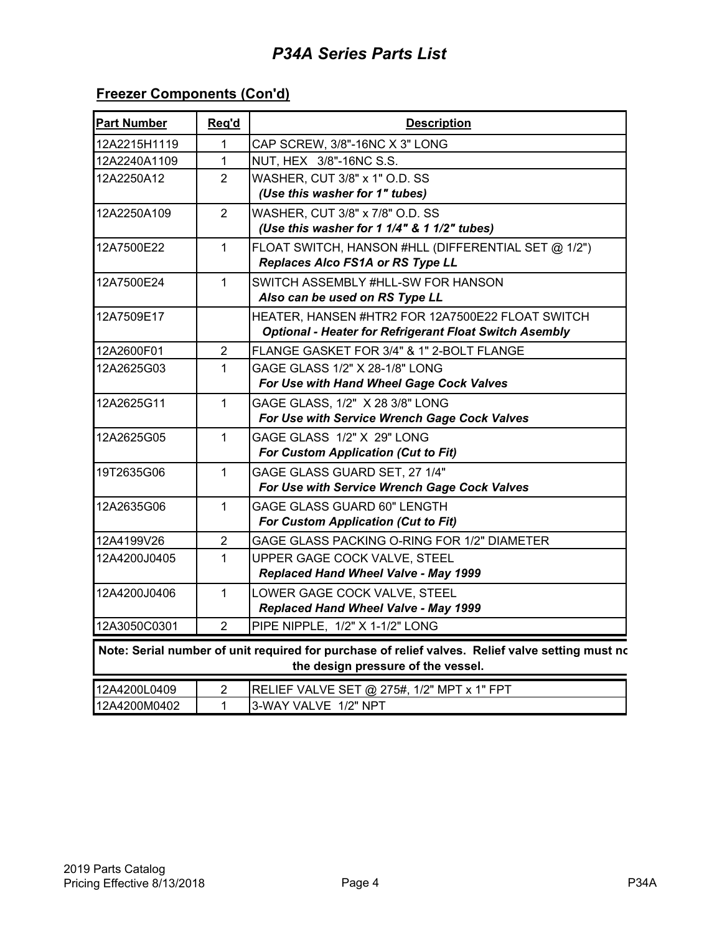## **Freezer Components (Con'd)**

| <b>Part Number</b>                                                                                                                     | Req'd | <b>Description</b>                                            |
|----------------------------------------------------------------------------------------------------------------------------------------|-------|---------------------------------------------------------------|
| 12A2215H1119                                                                                                                           | 1     | CAP SCREW, 3/8"-16NC X 3" LONG                                |
| 12A2240A1109                                                                                                                           | 1     | NUT, HEX 3/8"-16NC S.S.                                       |
| 12A2250A12                                                                                                                             | 2     | WASHER, CUT 3/8" x 1" O.D. SS                                 |
|                                                                                                                                        |       | (Use this washer for 1" tubes)                                |
| 12A2250A109                                                                                                                            | 2     | WASHER, CUT 3/8" x 7/8" O.D. SS                               |
|                                                                                                                                        |       | (Use this washer for 1 1/4" & 1 1/2" tubes)                   |
| 12A7500E22                                                                                                                             | 1     | FLOAT SWITCH, HANSON #HLL (DIFFERENTIAL SET @ 1/2")           |
|                                                                                                                                        |       | Replaces Alco FS1A or RS Type LL                              |
| 12A7500E24                                                                                                                             | 1     | SWITCH ASSEMBLY #HLL-SW FOR HANSON                            |
|                                                                                                                                        |       | Also can be used on RS Type LL                                |
| 12A7509E17                                                                                                                             |       | HEATER, HANSEN #HTR2 FOR 12A7500E22 FLOAT SWITCH              |
|                                                                                                                                        |       | <b>Optional - Heater for Refrigerant Float Switch Asembly</b> |
| 12A2600F01                                                                                                                             | 2     | FLANGE GASKET FOR 3/4" & 1" 2-BOLT FLANGE                     |
| 12A2625G03                                                                                                                             | 1     | GAGE GLASS 1/2" X 28-1/8" LONG                                |
|                                                                                                                                        |       | For Use with Hand Wheel Gage Cock Valves                      |
| 12A2625G11                                                                                                                             | 1     | GAGE GLASS, 1/2" X 28 3/8" LONG                               |
|                                                                                                                                        |       | For Use with Service Wrench Gage Cock Valves                  |
| 12A2625G05                                                                                                                             | 1     | GAGE GLASS 1/2" X 29" LONG                                    |
|                                                                                                                                        |       | <b>For Custom Application (Cut to Fit)</b>                    |
| 19T2635G06                                                                                                                             | 1     | GAGE GLASS GUARD SET, 27 1/4"                                 |
|                                                                                                                                        |       | For Use with Service Wrench Gage Cock Valves                  |
| 12A2635G06                                                                                                                             | 1     | <b>GAGE GLASS GUARD 60" LENGTH</b>                            |
|                                                                                                                                        |       | For Custom Application (Cut to Fit)                           |
| 12A4199V26                                                                                                                             | 2     | GAGE GLASS PACKING O-RING FOR 1/2" DIAMETER                   |
| 12A4200J0405                                                                                                                           | 1     | UPPER GAGE COCK VALVE, STEEL                                  |
|                                                                                                                                        |       | Replaced Hand Wheel Valve - May 1999                          |
| 12A4200J0406                                                                                                                           | 1     | LOWER GAGE COCK VALVE, STEEL                                  |
|                                                                                                                                        |       | Replaced Hand Wheel Valve - May 1999                          |
| 12A3050C0301                                                                                                                           | 2     | PIPE NIPPLE, 1/2" X 1-1/2" LONG                               |
| Note: Serial number of unit required for purchase of relief valves. Relief valve setting must no<br>the design pressure of the vessel. |       |                                                               |
| 12A4200L0409                                                                                                                           | 2     | RELIEF VALVE SET @ 275#, 1/2" MPT x 1" FPT                    |
| 12A4200M0402                                                                                                                           | 1     | 3-WAY VALVE 1/2" NPT                                          |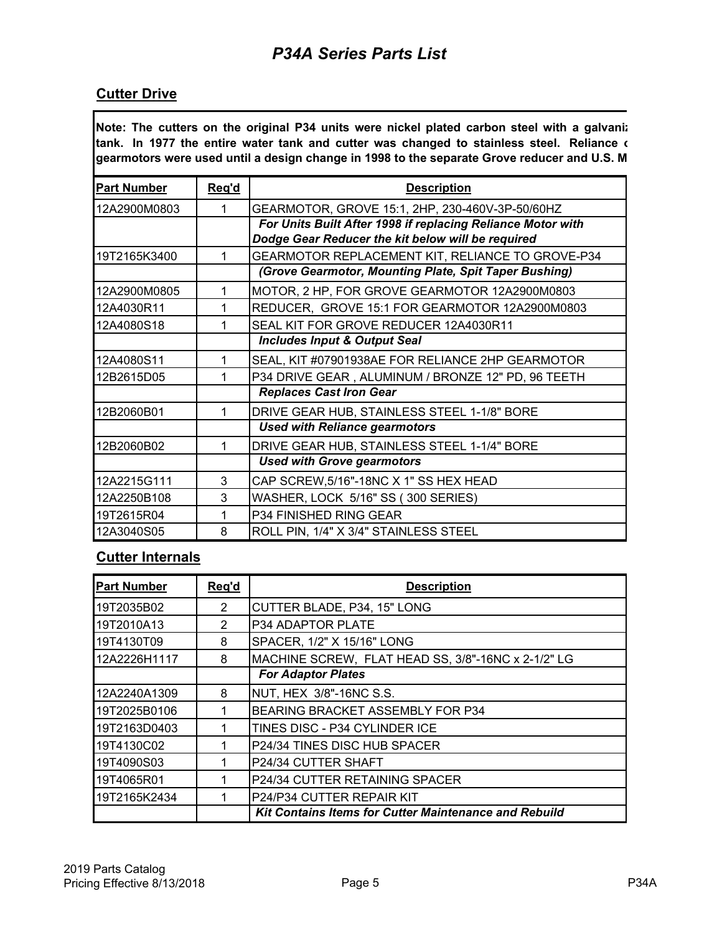#### **Cutter Drive**

**Note: The cutters on the original P34 units were nickel plated carbon steel with a galvaniz tank. In 1977 the entire water tank and cutter was changed to stainless steel. Reliance o gearmotors were used until a design change in 1998 to the separate Grove reducer and U.S. M**

| <b>Part Number</b> | Req'd | <b>Description</b>                                                                                               |
|--------------------|-------|------------------------------------------------------------------------------------------------------------------|
| 12A2900M0803       |       | GEARMOTOR, GROVE 15:1, 2HP, 230-460V-3P-50/60HZ                                                                  |
|                    |       | For Units Built After 1998 if replacing Reliance Motor with<br>Dodge Gear Reducer the kit below will be required |
| 19T2165K3400       |       | GEARMOTOR REPLACEMENT KIT, RELIANCE TO GROVE-P34                                                                 |
|                    |       | (Grove Gearmotor, Mounting Plate, Spit Taper Bushing)                                                            |
| 12A2900M0805       | 1     | MOTOR, 2 HP, FOR GROVE GEARMOTOR 12A2900M0803                                                                    |
| 12A4030R11         | 1     | REDUCER, GROVE 15:1 FOR GEARMOTOR 12A2900M0803                                                                   |
| 12A4080S18         |       | SEAL KIT FOR GROVE REDUCER 12A4030R11                                                                            |
|                    |       | <b>Includes Input &amp; Output Seal</b>                                                                          |
| 12A4080S11         | 1     | SEAL, KIT #07901938AE FOR RELIANCE 2HP GEARMOTOR                                                                 |
| 12B2615D05         |       | P34 DRIVE GEAR, ALUMINUM / BRONZE 12" PD, 96 TEETH                                                               |
|                    |       | <b>Replaces Cast Iron Gear</b>                                                                                   |
| 12B2060B01         |       | DRIVE GEAR HUB, STAINLESS STEEL 1-1/8" BORE                                                                      |
|                    |       | <b>Used with Reliance gearmotors</b>                                                                             |
| 12B2060B02         | 1     | DRIVE GEAR HUB, STAINLESS STEEL 1-1/4" BORE                                                                      |
|                    |       | <b>Used with Grove gearmotors</b>                                                                                |
| 12A2215G111        | 3     | CAP SCREW,5/16"-18NC X 1" SS HEX HEAD                                                                            |
| 12A2250B108        | 3     | WASHER, LOCK 5/16" SS (300 SERIES)                                                                               |
| 19T2615R04         |       | P34 FINISHED RING GEAR                                                                                           |
| 12A3040S05         | 8     | ROLL PIN, 1/4" X 3/4" STAINLESS STEEL                                                                            |

### **Cutter Internals**

| <b>Part Number</b> | Reg'd | <b>Description</b>                                           |
|--------------------|-------|--------------------------------------------------------------|
| 19T2035B02         | 2     | CUTTER BLADE, P34, 15" LONG                                  |
| 19T2010A13         | 2     | P34 ADAPTOR PLATE                                            |
| 19T4130T09         | 8     | SPACER, 1/2" X 15/16" LONG                                   |
| 12A2226H1117       | 8     | MACHINE SCREW, FLAT HEAD SS, 3/8"-16NC x 2-1/2" LG           |
|                    |       | <b>For Adaptor Plates</b>                                    |
| 12A2240A1309       | 8     | NUT, HEX 3/8"-16NC S.S.                                      |
| 19T2025B0106       |       | <b>BEARING BRACKET ASSEMBLY FOR P34</b>                      |
| 19T2163D0403       |       | TINES DISC - P34 CYLINDER ICE                                |
| 19T4130C02         |       | P24/34 TINES DISC HUB SPACER                                 |
| 19T4090S03         |       | P24/34 CUTTER SHAFT                                          |
| 19T4065R01         |       | P24/34 CUTTER RETAINING SPACER                               |
| 19T2165K2434       |       | P24/P34 CUTTER REPAIR KIT                                    |
|                    |       | <b>Kit Contains Items for Cutter Maintenance and Rebuild</b> |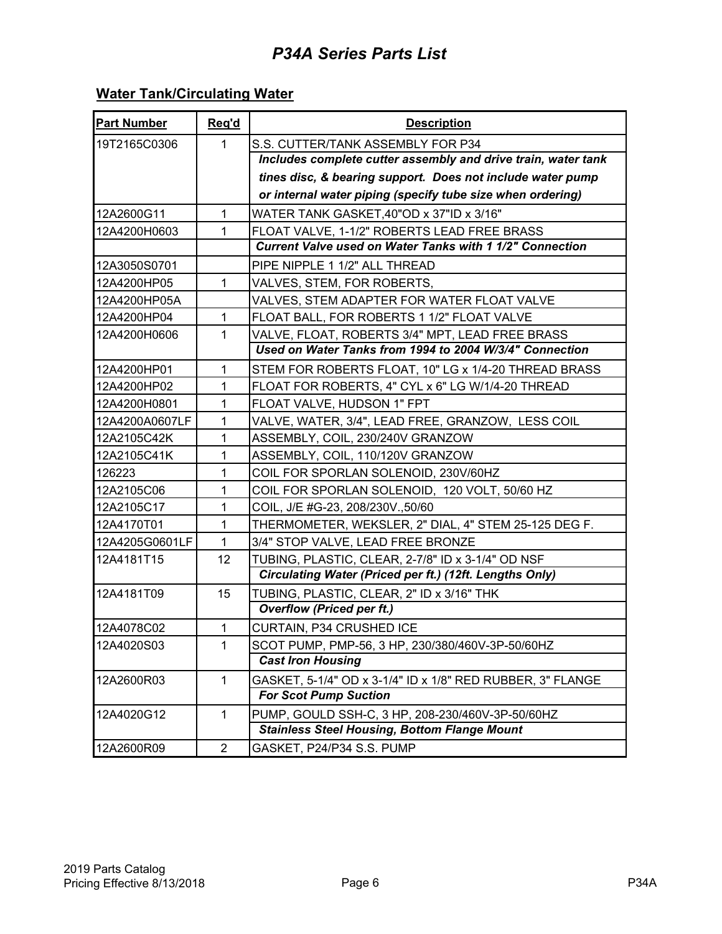# **Water Tank/Circulating Water**

| <b>Part Number</b> | Req'd          | <b>Description</b>                                              |
|--------------------|----------------|-----------------------------------------------------------------|
| 19T2165C0306       | $\mathbf{1}$   | S.S. CUTTER/TANK ASSEMBLY FOR P34                               |
|                    |                | Includes complete cutter assembly and drive train, water tank   |
|                    |                | tines disc, & bearing support. Does not include water pump      |
|                    |                | or internal water piping (specify tube size when ordering)      |
| 12A2600G11         | 1              | WATER TANK GASKET, 40"OD x 37"ID x 3/16"                        |
| 12A4200H0603       | 1              | FLOAT VALVE, 1-1/2" ROBERTS LEAD FREE BRASS                     |
|                    |                | <b>Current Valve used on Water Tanks with 1 1/2" Connection</b> |
| 12A3050S0701       |                | PIPE NIPPLE 1 1/2" ALL THREAD                                   |
| 12A4200HP05        | $\mathbf{1}$   | VALVES, STEM, FOR ROBERTS,                                      |
| 12A4200HP05A       |                | VALVES, STEM ADAPTER FOR WATER FLOAT VALVE                      |
| 12A4200HP04        | 1              | FLOAT BALL, FOR ROBERTS 1 1/2" FLOAT VALVE                      |
| 12A4200H0606       | 1              | VALVE, FLOAT, ROBERTS 3/4" MPT, LEAD FREE BRASS                 |
|                    |                | Used on Water Tanks from 1994 to 2004 W/3/4" Connection         |
| 12A4200HP01        | $\mathbf{1}$   | STEM FOR ROBERTS FLOAT, 10" LG x 1/4-20 THREAD BRASS            |
| 12A4200HP02        | 1              | FLOAT FOR ROBERTS, 4" CYL x 6" LG W/1/4-20 THREAD               |
| 12A4200H0801       | 1              | FLOAT VALVE, HUDSON 1" FPT                                      |
| 12A4200A0607LF     | 1              | VALVE, WATER, 3/4", LEAD FREE, GRANZOW, LESS COIL               |
| 12A2105C42K        | 1              | ASSEMBLY, COIL, 230/240V GRANZOW                                |
| 12A2105C41K        | 1              | ASSEMBLY, COIL, 110/120V GRANZOW                                |
| 126223             | 1              | COIL FOR SPORLAN SOLENOID, 230V/60HZ                            |
| 12A2105C06         | 1              | COIL FOR SPORLAN SOLENOID, 120 VOLT, 50/60 HZ                   |
| 12A2105C17         | 1              | COIL, J/E #G-23, 208/230V.,50/60                                |
| 12A4170T01         | $\mathbf{1}$   | THERMOMETER, WEKSLER, 2" DIAL, 4" STEM 25-125 DEG F.            |
| 12A4205G0601LF     | $\mathbf{1}$   | 3/4" STOP VALVE, LEAD FREE BRONZE                               |
| 12A4181T15         | 12             | TUBING, PLASTIC, CLEAR, 2-7/8" ID x 3-1/4" OD NSF               |
|                    |                | Circulating Water (Priced per ft.) (12ft. Lengths Only)         |
| 12A4181T09         | 15             | TUBING, PLASTIC, CLEAR, 2" ID x 3/16" THK                       |
|                    |                | <b>Overflow (Priced per ft.)</b>                                |
| 12A4078C02         | 1              | CURTAIN, P34 CRUSHED ICE                                        |
| 12A4020S03         | 1              | SCOT PUMP, PMP-56, 3 HP, 230/380/460V-3P-50/60HZ                |
|                    |                | <b>Cast Iron Housing</b>                                        |
| 12A2600R03         | 1              | GASKET, 5-1/4" OD x 3-1/4" ID x 1/8" RED RUBBER, 3" FLANGE      |
|                    |                | <b>For Scot Pump Suction</b>                                    |
| 12A4020G12         | $\mathbf 1$    | PUMP, GOULD SSH-C, 3 HP, 208-230/460V-3P-50/60HZ                |
|                    |                | <b>Stainless Steel Housing, Bottom Flange Mount</b>             |
| 12A2600R09         | $\overline{2}$ | GASKET, P24/P34 S.S. PUMP                                       |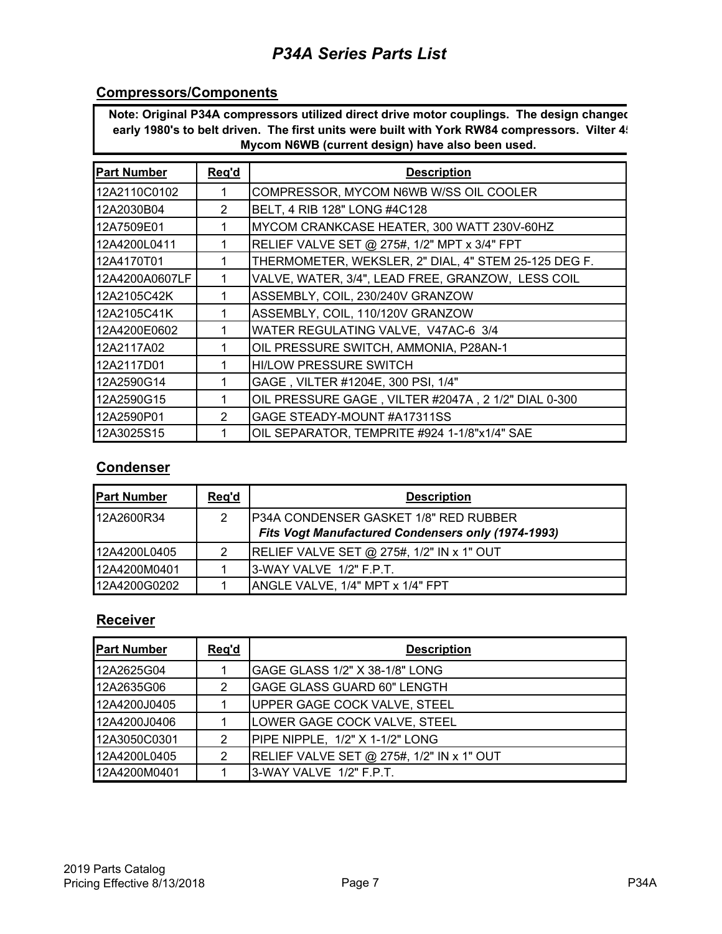#### **Compressors/Components**

**Note: Original P34A compressors utilized direct drive motor couplings. The design changed** early 1980's to belt driven. The first units were built with York RW84 compressors. Vilter 4! **Mycom N6WB (current design) have also been used.**

| <b>Part Number</b> | Req'd | <b>Description</b>                                   |
|--------------------|-------|------------------------------------------------------|
| 12A2110C0102       |       | COMPRESSOR, MYCOM N6WB W/SS OIL COOLER               |
| 12A2030B04         | 2     | BELT, 4 RIB 128" LONG #4C128                         |
| 12A7509E01         |       | MYCOM CRANKCASE HEATER, 300 WATT 230V-60HZ           |
| 12A4200L0411       |       | RELIEF VALVE SET @ 275#, 1/2" MPT x 3/4" FPT         |
| 12A4170T01         |       | THERMOMETER, WEKSLER, 2" DIAL, 4" STEM 25-125 DEG F. |
| 12A4200A0607LF     |       | VALVE, WATER, 3/4", LEAD FREE, GRANZOW, LESS COIL    |
| 12A2105C42K        |       | ASSEMBLY, COIL, 230/240V GRANZOW                     |
| 12A2105C41K        |       | ASSEMBLY, COIL, 110/120V GRANZOW                     |
| 12A4200E0602       |       | WATER REGULATING VALVE, V47AC-6 3/4                  |
| 12A2117A02         |       | OIL PRESSURE SWITCH, AMMONIA, P28AN-1                |
| 12A2117D01         |       | <b>HI/LOW PRESSURE SWITCH</b>                        |
| 12A2590G14         |       | GAGE, VILTER #1204E, 300 PSI, 1/4"                   |
| 12A2590G15         |       | OIL PRESSURE GAGE, VILTER #2047A, 2 1/2" DIAL 0-300  |
| 12A2590P01         | 2     | GAGE STEADY-MOUNT #A17311SS                          |
| 12A3025S15         |       | OIL SEPARATOR, TEMPRITE #924 1-1/8"x1/4" SAE         |

#### **Condenser**

| <b>Part Number</b> | Reg'd | <b>Description</b>                                                                                 |
|--------------------|-------|----------------------------------------------------------------------------------------------------|
| 12A2600R34         | 2     | <b>P34A CONDENSER GASKET 1/8" RED RUBBER</b><br>Fits Vogt Manufactured Condensers only (1974-1993) |
| 12A4200L0405       | 2     | RELIEF VALVE SET @ 275#, 1/2" IN x 1" OUT                                                          |
| 12A4200M0401       |       | I3-WAY VALVE 1/2" F.P.T.                                                                           |
| 12A4200G0202       |       | ANGLE VALVE, 1/4" MPT x 1/4" FPT                                                                   |

#### **Receiver**

| <b>Part Number</b> | Reg'd | <b>Description</b>                               |
|--------------------|-------|--------------------------------------------------|
| 12A2625G04         |       | GAGE GLASS 1/2" X 38-1/8" LONG                   |
| 12A2635G06         | 2     | <b>GAGE GLASS GUARD 60" LENGTH</b>               |
| 12A4200J0405       |       | UPPER GAGE COCK VALVE, STEEL                     |
| 12A4200J0406       |       | LOWER GAGE COCK VALVE, STEEL                     |
| 12A3050C0301       | 2     | PIPE NIPPLE, 1/2" X 1-1/2" LONG                  |
| 12A4200L0405       | 2     | <b>RELIEF VALVE SET @ 275#, 1/2" IN x 1" OUT</b> |
| 12A4200M0401       |       | I3-WAY VALVE 1/2" F.P.T.                         |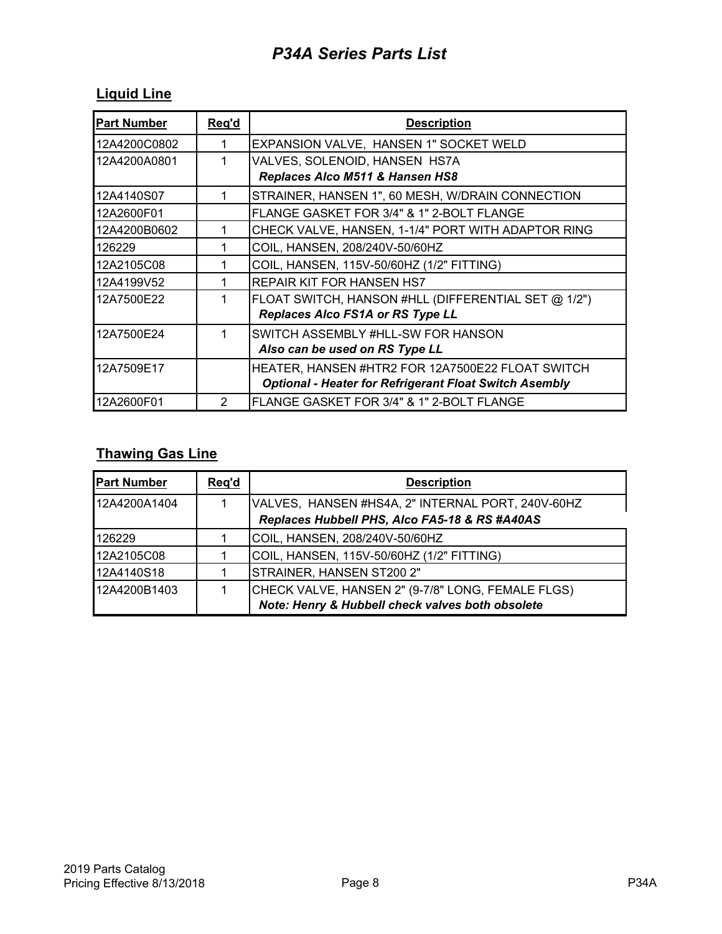## **Liquid Line**

| <b>Part Number</b> | Req'd         | <b>Description</b>                                            |
|--------------------|---------------|---------------------------------------------------------------|
| 12A4200C0802       |               | EXPANSION VALVE, HANSEN 1" SOCKET WELD                        |
| 12A4200A0801       |               | VALVES, SOLENOID, HANSEN HS7A                                 |
|                    |               | Replaces Alco M511 & Hansen HS8                               |
| 12A4140S07         |               | STRAINER, HANSEN 1", 60 MESH, W/DRAIN CONNECTION              |
| 12A2600F01         |               | FLANGE GASKET FOR 3/4" & 1" 2-BOLT FLANGE                     |
| 12A4200B0602       |               | CHECK VALVE, HANSEN, 1-1/4" PORT WITH ADAPTOR RING            |
| 126229             |               | COIL, HANSEN, 208/240V-50/60HZ                                |
| 12A2105C08         |               | COIL, HANSEN, 115V-50/60HZ (1/2" FITTING)                     |
| 12A4199V52         |               | <b>REPAIR KIT FOR HANSEN HS7</b>                              |
| 12A7500E22         |               | FLOAT SWITCH, HANSON #HLL (DIFFERENTIAL SET @ 1/2")           |
|                    |               | Replaces Alco FS1A or RS Type LL                              |
| 12A7500E24         |               | SWITCH ASSEMBLY #HLL-SW FOR HANSON                            |
|                    |               | Also can be used on RS Type LL                                |
| 12A7509E17         |               | HEATER, HANSEN #HTR2 FOR 12A7500E22 FLOAT SWITCH              |
|                    |               | <b>Optional - Heater for Refrigerant Float Switch Asembly</b> |
| 12A2600F01         | $\mathcal{P}$ | FLANGE GASKET FOR 3/4" & 1" 2-BOLT FLANGE                     |

### **Thawing Gas Line**

| <b>Part Number</b> | Reg'd | <b>Description</b>                                |
|--------------------|-------|---------------------------------------------------|
| 12A4200A1404       |       | VALVES, HANSEN #HS4A, 2" INTERNAL PORT, 240V-60HZ |
|                    |       | Replaces Hubbell PHS, Alco FA5-18 & RS #A40AS     |
| 126229             |       | COIL, HANSEN, 208/240V-50/60HZ                    |
| 12A2105C08         |       | COIL, HANSEN, 115V-50/60HZ (1/2" FITTING)         |
| 12A4140S18         |       | STRAINER, HANSEN ST200 2"                         |
| 12A4200B1403       |       | CHECK VALVE, HANSEN 2" (9-7/8" LONG, FEMALE FLGS) |
|                    |       | Note: Henry & Hubbell check valves both obsolete  |